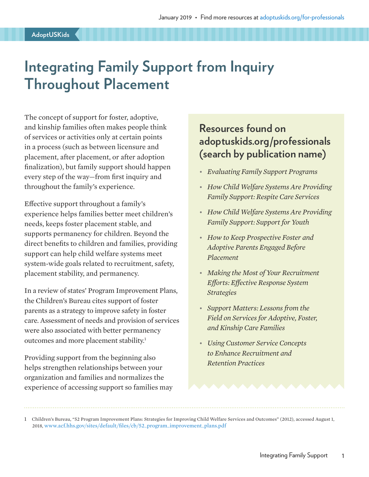# **Integrating Family Support from Inquiry Throughout Placement**

The concept of support for foster, adoptive, and kinship families often makes people think of services or activities only at certain points in a process (such as between licensure and placement, after placement, or after adoption finalization), but family support should happen every step of the way—from first inquiry and throughout the family's experience.

Effective support throughout a family's experience helps families better meet children's needs, keeps foster placement stable, and supports permanency for children. Beyond the direct benefits to children and families, providing support can help child welfare systems meet system-wide goals related to recruitment, safety, placement stability, and permanency.

In a review of states' Program Improvement Plans, the Children's Bureau cites support of foster parents as a strategy to improve safety in foster care. Assessment of needs and provision of services were also associated with better permanency outcomes and more placement stability.<sup>1</sup>

Providing support from the beginning also helps strengthen relationships between your organization and families and normalizes the experience of accessing support so families may

### **Resources found on adoptuskids.org/professionals (search by publication name)**

- *Evaluating Family Support Programs*
- *How Child Welfare Systems Are Providing Family Support: Respite Care Services*
- *How Child Welfare Systems Are Providing Family Support: Support for Youth*
- *How to Keep Prospective Foster and Adoptive Parents Engaged Before Placement*
- *Making the Most of Your Recruitment Efforts: Effective Response System Strategies*
- *Support Matters: Lessons from the Field on Services for Adoptive, Foster, and Kinship Care Families*
- *Using Customer Service Concepts to Enhance Recruitment and Retention Practices*

1 Children's Bureau, "52 Program Improvement Plans: Strategies for Improving Child Welfare Services and Outcomes" (2012), accessed August 1, 2018, [www.acf.hhs.gov/sites/default/files/cb/52\\_program\\_improvement\\_plans.pdf](http://www.acf.hhs.gov/sites/default/files/cb/52_program_improvement_plans.pdf)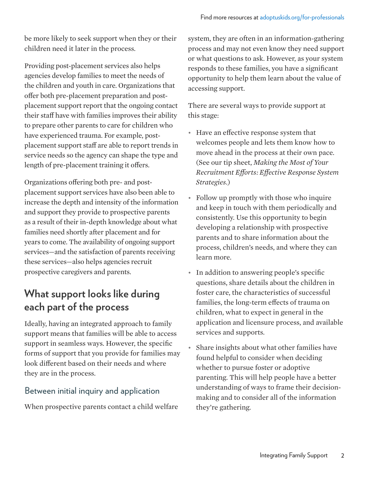be more likely to seek support when they or their children need it later in the process.

Providing post-placement services also helps agencies develop families to meet the needs of the children and youth in care. Organizations that offer both pre-placement preparation and postplacement support report that the ongoing contact their staff have with families improves their ability to prepare other parents to care for children who have experienced trauma. For example, postplacement support staff are able to report trends in service needs so the agency can shape the type and length of pre-placement training it offers.

Organizations offering both pre- and postplacement support services have also been able to increase the depth and intensity of the information and support they provide to prospective parents as a result of their in-depth knowledge about what families need shortly after placement and for years to come. The availability of ongoing support services—and the satisfaction of parents receiving these services—also helps agencies recruit prospective caregivers and parents.

## **What support looks like during each part of the process**

Ideally, having an integrated approach to family support means that families will be able to access support in seamless ways. However, the specific forms of support that you provide for families may look different based on their needs and where they are in the process.

#### Between initial inquiry and application

When prospective parents contact a child welfare

system, they are often in an information-gathering process and may not even know they need support or what questions to ask. However, as your system responds to these families, you have a significant opportunity to help them learn about the value of accessing support.

There are several ways to provide support at this stage:

- Have an effective response system that welcomes people and lets them know how to move ahead in the process at their own pace. (See our tip sheet, *Making the Most of Your Recruitment Efforts: Effective Response System Strategies*.)
- Follow up promptly with those who inquire and keep in touch with them periodically and consistently. Use this opportunity to begin developing a relationship with prospective parents and to share information about the process, children's needs, and where they can learn more.
- In addition to answering people's specific questions, share details about the children in foster care, the characteristics of successful families, the long-term effects of trauma on children, what to expect in general in the application and licensure process, and available services and supports.
- Share insights about what other families have found helpful to consider when deciding whether to pursue foster or adoptive parenting. This will help people have a better understanding of ways to frame their decisionmaking and to consider all of the information they're gathering.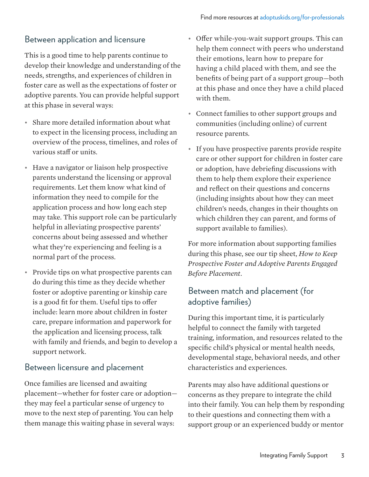#### Between application and licensure

This is a good time to help parents continue to develop their knowledge and understanding of the needs, strengths, and experiences of children in foster care as well as the expectations of foster or adoptive parents. You can provide helpful support at this phase in several ways:

- Share more detailed information about what to expect in the licensing process, including an overview of the process, timelines, and roles of various staff or units.
- Have a navigator or liaison help prospective parents understand the licensing or approval requirements. Let them know what kind of information they need to compile for the application process and how long each step may take. This support role can be particularly helpful in alleviating prospective parents' concerns about being assessed and whether what they're experiencing and feeling is a normal part of the process.
- Provide tips on what prospective parents can do during this time as they decide whether foster or adoptive parenting or kinship care is a good fit for them. Useful tips to offer include: learn more about children in foster care, prepare information and paperwork for the application and licensing process, talk with family and friends, and begin to develop a support network.

#### Between licensure and placement

Once families are licensed and awaiting placement—whether for foster care or adoption they may feel a particular sense of urgency to move to the next step of parenting. You can help them manage this waiting phase in several ways:

- Offer while-you-wait support groups. This can help them connect with peers who understand their emotions, learn how to prepare for having a child placed with them, and see the benefits of being part of a support group—both at this phase and once they have a child placed with them.
- Connect families to other support groups and communities (including online) of current resource parents.
- If you have prospective parents provide respite care or other support for children in foster care or adoption, have debriefing discussions with them to help them explore their experience and reflect on their questions and concerns (including insights about how they can meet children's needs, changes in their thoughts on which children they can parent, and forms of support available to families).

For more information about supporting families during this phase, see our tip sheet, *How to Keep Prospective Foster and Adoptive Parents Engaged Before Placement*.

#### Between match and placement (for adoptive families)

During this important time, it is particularly helpful to connect the family with targeted training, information, and resources related to the specific child's physical or mental health needs, developmental stage, behavioral needs, and other characteristics and experiences.

Parents may also have additional questions or concerns as they prepare to integrate the child into their family. You can help them by responding to their questions and connecting them with a support group or an experienced buddy or mentor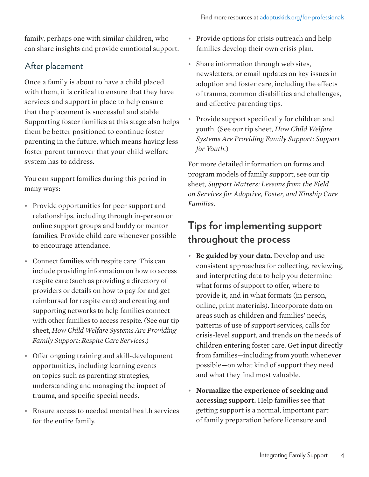family, perhaps one with similar children, who can share insights and provide emotional support.

#### After placement

Once a family is about to have a child placed with them, it is critical to ensure that they have services and support in place to help ensure that the placement is successful and stable Supporting foster families at this stage also helps them be better positioned to continue foster parenting in the future, which means having less foster parent turnover that your child welfare system has to address.

You can support families during this period in many ways:

- Provide opportunities for peer support and relationships, including through in-person or online support groups and buddy or mentor families. Provide child care whenever possible to encourage attendance.
- Connect families with respite care. This can include providing information on how to access respite care (such as providing a directory of providers or details on how to pay for and get reimbursed for respite care) and creating and supporting networks to help families connect with other families to access respite. (See our tip sheet, *How Child Welfare Systems Are Providing Family Support: Respite Care Services*.)
- Offer ongoing training and skill-development opportunities, including learning events on topics such as parenting strategies, understanding and managing the impact of trauma, and specific special needs.
- Ensure access to needed mental health services for the entire family.
- Provide options for crisis outreach and help families develop their own crisis plan.
- Share information through web sites, newsletters, or email updates on key issues in adoption and foster care, including the effects of trauma, common disabilities and challenges, and effective parenting tips.
- Provide support specifically for children and youth. (See our tip sheet, *How Child Welfare Systems Are Providing Family Support: Support for Youth.*)

For more detailed information on forms and program models of family support, see our tip sheet, *Support Matters: Lessons from the Field on Services for Adoptive, Foster, and Kinship Care Families*.

### **Tips for implementing support throughout the process**

- **Be guided by your data.** Develop and use consistent approaches for collecting, reviewing, and interpreting data to help you determine what forms of support to offer, where to provide it, and in what formats (in person, online, print materials). Incorporate data on areas such as children and families' needs, patterns of use of support services, calls for crisis-level support, and trends on the needs of children entering foster care. Get input directly from families—including from youth whenever possible—on what kind of support they need and what they find most valuable.
- **Normalize the experience of seeking and accessing support.** Help families see that getting support is a normal, important part of family preparation before licensure and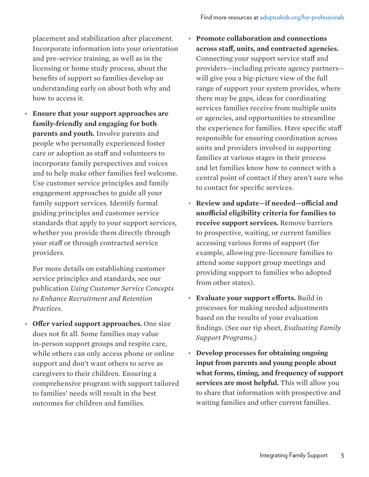placement and stabilization after placement. Incorporate information into your orientation and pre-service training, as well as in the licensing or home study process, about the benefits of support so families develop an understanding early on about both why and how to access it.

• **Ensure that your support approaches are family-friendly and engaging for both parents and youth.** Involve parents and people who personally experienced foster care or adoption as staff and volunteers to incorporate family perspectives and voices and to help make other families feel welcome. Use customer service principles and family engagement approaches to guide all your family support services. Identify formal guiding principles and customer service standards that apply to your support services, whether you provide them directly through your staff or through contracted service providers.

For more details on establishing customer service principles and standards, see our publication *Using Customer Service Concepts to Enhance Recruitment and Retention Practices*.

• **Offer varied support approaches.** One size does not fit all. Some families may value in-person support groups and respite care, while others can only access phone or online support and don't want others to serve as caregivers to their children. Ensuring a comprehensive program with support tailored to families' needs will result in the best outcomes for children and families.

- **Promote collaboration and connections across staff, units, and contracted agencies.** Connecting your support service staff and providers—including private agency partners will give you a big-picture view of the full range of support your system provides, where there may be gaps, ideas for coordinating services families receive from multiple units or agencies, and opportunities to streamline the experience for families. Have specific staff responsible for ensuring coordination across units and providers involved in supporting families at various stages in their process and let families know how to connect with a central point of contact if they aren't sure who to contact for specific services.
- **Review and update—if needed—official and unofficial eligibility criteria for families to receive support services.** Remove barriers to prospective, waiting, or current families accessing various forms of support (for example, allowing pre-licensure families to attend some support group meetings and providing support to families who adopted from other states).
- **Evaluate your support efforts.** Build in processes for making needed adjustments based on the results of your evaluation findings. (See our tip sheet, *Evaluating Family Support Programs*.)
- **Develop processes for obtaining ongoing input from parents and young people about what forms, timing, and frequency of support services are most helpful.** This will allow you to share that information with prospective and waiting families and other current families.